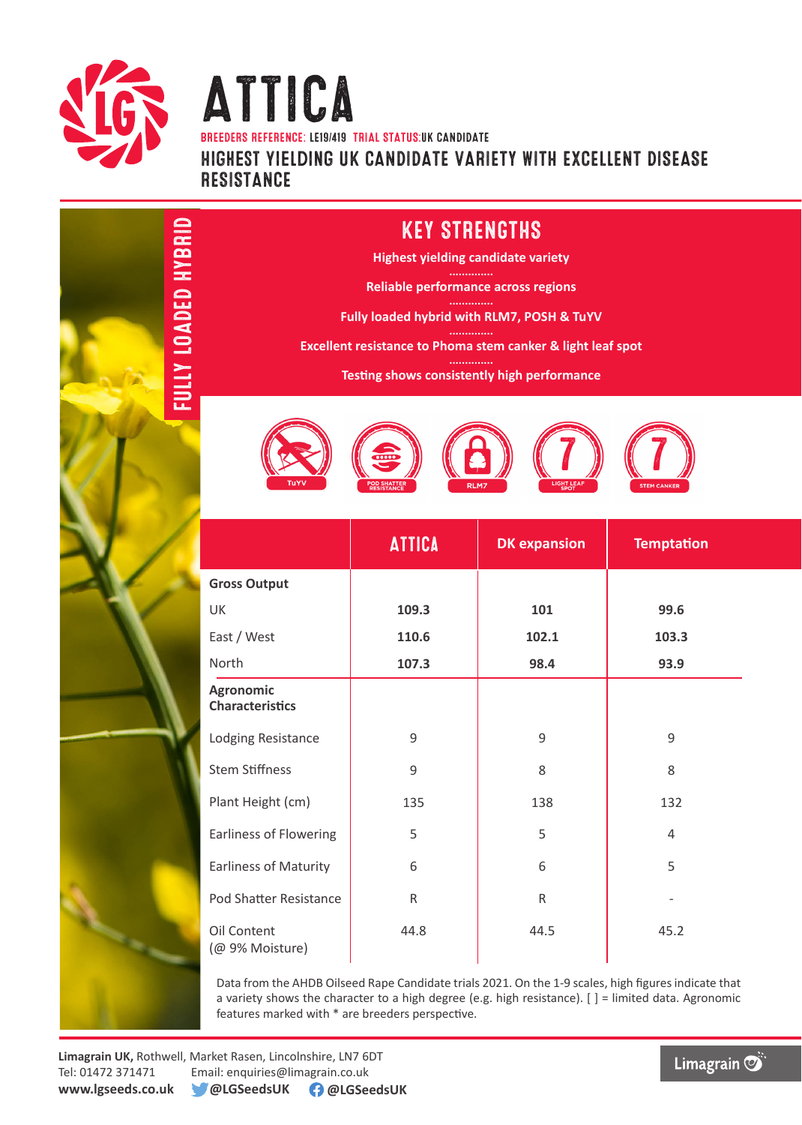

FULLY LOADED HYBRID

FULLY LOADED HYBRID

## Attica BREEDERS REFERENCE: LE19/419 TRIAL STATUS:uk CANDIDATE Highest yielding UK CANDIDATE VARIETY WITH EXCELLENT DISEASE RESISTANCE

## KEY STRENGTHS

**Highest yielding candidate variety**

**Reliable performance across regions**

**Fully loaded hybrid with RLM7, POSH & TuYV**

**Excellent resistance to Phoma stem canker & light leaf spot**

**Testing shows consistently high performance** 



|                                     | <b>ATTICA</b> | <b>DK</b> expansion | <b>Temptation</b> |  |
|-------------------------------------|---------------|---------------------|-------------------|--|
| <b>Gross Output</b>                 |               |                     |                   |  |
| UK                                  | 109.3         | 101                 | 99.6              |  |
| East / West                         | 110.6         | 102.1               | 103.3             |  |
| North                               | 107.3         | 98.4                | 93.9              |  |
| Agronomic<br><b>Characteristics</b> |               |                     |                   |  |
| Lodging Resistance                  | 9             | 9                   | 9                 |  |
| <b>Stem Stiffness</b>               | 9             | 8                   | 8                 |  |
| Plant Height (cm)                   | 135           | 138                 | 132               |  |
| <b>Earliness of Flowering</b>       | 5             | 5                   | 4                 |  |
| <b>Earliness of Maturity</b>        | 6             | 6                   | 5                 |  |
| Pod Shatter Resistance              | $\mathsf{R}$  | $\mathsf{R}$        |                   |  |
| Oil Content<br>(@ 9% Moisture)      | 44.8          | 44.5                | 45.2              |  |

Data from the AHDB Oilseed Rape Candidate trials 2021. On the 1-9 scales, high figures indicate that a variety shows the character to a high degree (e.g. high resistance). [ ] = limited data. Agronomic features marked with \* are breeders perspective.